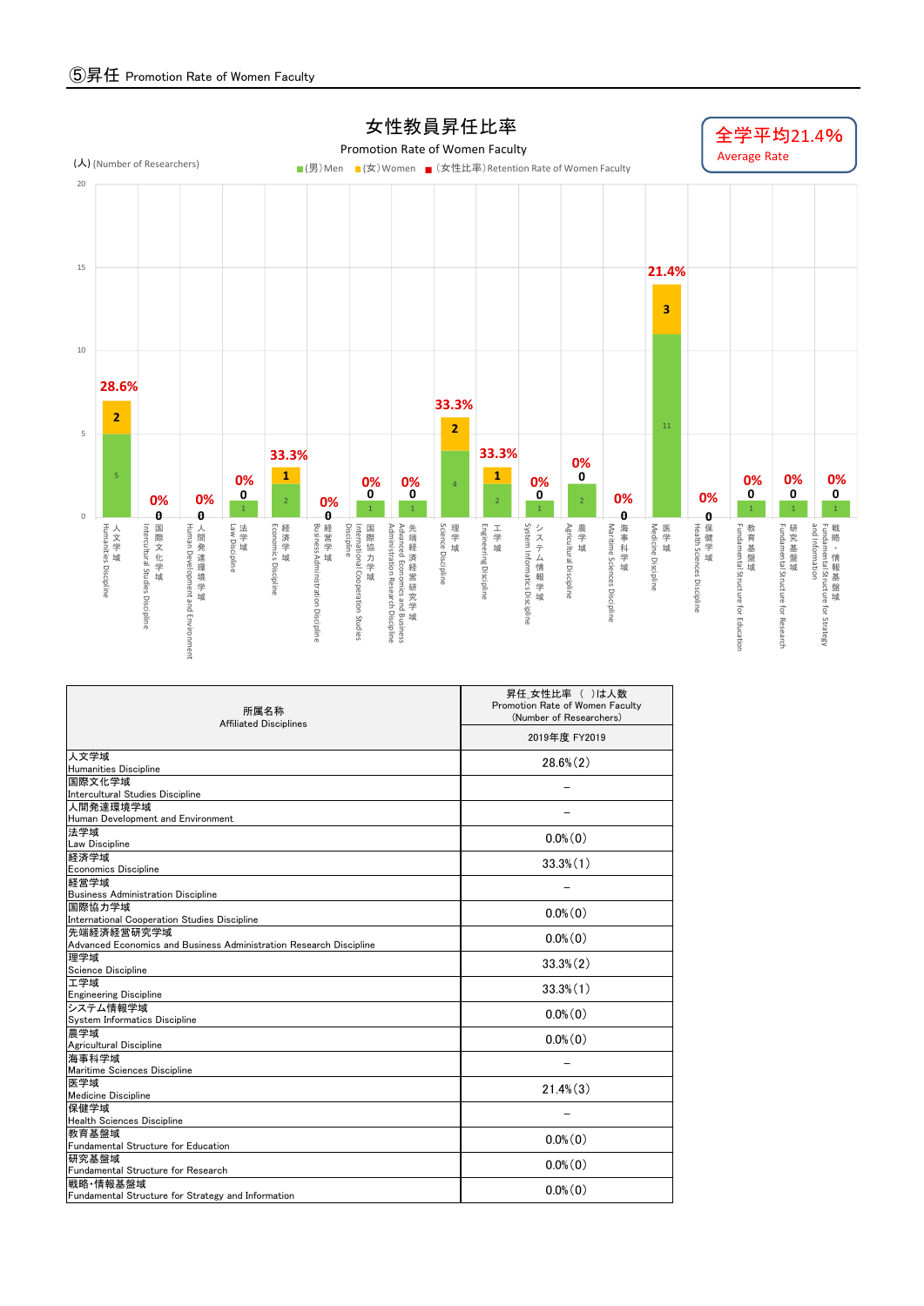

| 所属名称<br><b>Affiliated Disciplines</b>                              | 昇任_女性比率 ( )は人数<br>Promotion Rate of Women Faculty<br>(Number of Researchers)<br>2019年度 FY2019 |  |  |  |  |  |
|--------------------------------------------------------------------|-----------------------------------------------------------------------------------------------|--|--|--|--|--|
|                                                                    |                                                                                               |  |  |  |  |  |
| 人文学域                                                               | $28.6\%$ $(2)$                                                                                |  |  |  |  |  |
| <b>Humanities Discipline</b>                                       |                                                                                               |  |  |  |  |  |
| 国際文化学域<br>Intercultural Studies Discipline                         |                                                                                               |  |  |  |  |  |
| 人間発達環境学域                                                           |                                                                                               |  |  |  |  |  |
| Human Development and Environment                                  |                                                                                               |  |  |  |  |  |
| 法学域                                                                |                                                                                               |  |  |  |  |  |
| <b>Law Discipline</b>                                              | $0.0\%$ $(0)$                                                                                 |  |  |  |  |  |
| 経済学域                                                               | $33.3\%$ $(1)$                                                                                |  |  |  |  |  |
| <b>Economics Discipline</b>                                        |                                                                                               |  |  |  |  |  |
| 経営学域                                                               |                                                                                               |  |  |  |  |  |
| <b>Business Administration Discipline</b><br>国際協力学域                |                                                                                               |  |  |  |  |  |
| International Cooperation Studies Discipline                       | $0.0\%$ (0)                                                                                   |  |  |  |  |  |
| 先端経済経営研究学域                                                         |                                                                                               |  |  |  |  |  |
| Advanced Economics and Business Administration Research Discipline | $0.0\%$ (0)                                                                                   |  |  |  |  |  |
| 理学域                                                                | $33.3\%$ $(2)$                                                                                |  |  |  |  |  |
| Science Discipline                                                 |                                                                                               |  |  |  |  |  |
| 工学域                                                                | $33.3\%$ $(1)$                                                                                |  |  |  |  |  |
| <b>Engineering Discipline</b><br>システム情報学域                          |                                                                                               |  |  |  |  |  |
| System Informatics Discipline                                      | $0.0\%$ (0)                                                                                   |  |  |  |  |  |
| 農学域                                                                |                                                                                               |  |  |  |  |  |
| Agricultural Discipline                                            | $0.0\%$ $(0)$                                                                                 |  |  |  |  |  |
| 海事科学域                                                              |                                                                                               |  |  |  |  |  |
| Maritime Sciences Discipline                                       |                                                                                               |  |  |  |  |  |
| 医学域                                                                | $21.4\%$ $(3)$                                                                                |  |  |  |  |  |
| <b>Medicine Discipline</b>                                         |                                                                                               |  |  |  |  |  |
| 保健学域<br><b>Health Sciences Discipline</b>                          |                                                                                               |  |  |  |  |  |
| 教育基盤域                                                              |                                                                                               |  |  |  |  |  |
| Fundamental Structure for Education                                | $0.0\%$ $(0)$                                                                                 |  |  |  |  |  |
| 研究基盤域                                                              |                                                                                               |  |  |  |  |  |
| Fundamental Structure for Research                                 | $0.0\%$ $(0)$                                                                                 |  |  |  |  |  |
| 戦略·情報基盤域                                                           | $0.0\%$ (0)                                                                                   |  |  |  |  |  |
| Fundamental Structure for Strategy and Information                 |                                                                                               |  |  |  |  |  |